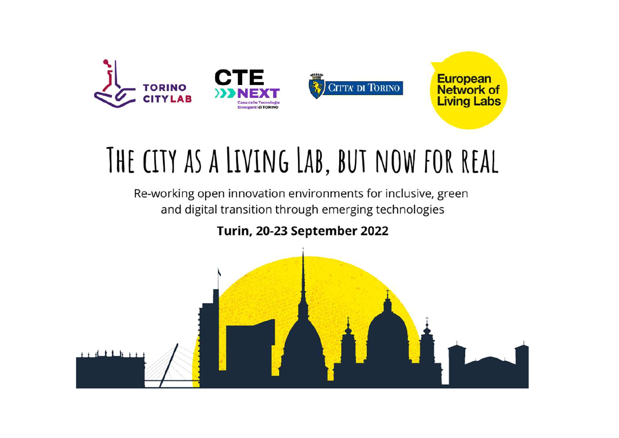

# THE CITY AS A LIVING LAB, BUT NOW FOR REAL

Re-working open innovation environments for inclusive, green and digital transition through emerging technologies

Turin, 20-23 September 2022

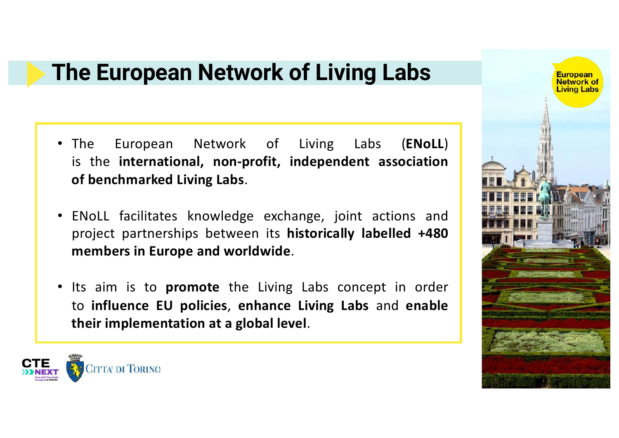### **The European Network of Living Labs**

- The European Network of Living Labs (**ENoLL**) is the **international, non-profit, independent association of benchmarked Living Labs**.
- ENoLL facilitates knowledge exchange, joint actions and project partnerships between its **historically labelled +480 members in Europe and worldwide**.
- Its aim is to **promote** the Living Labs concept in order to **influence EU policies**, **enhance Living Labs** and **enable their implementation at a global level**.



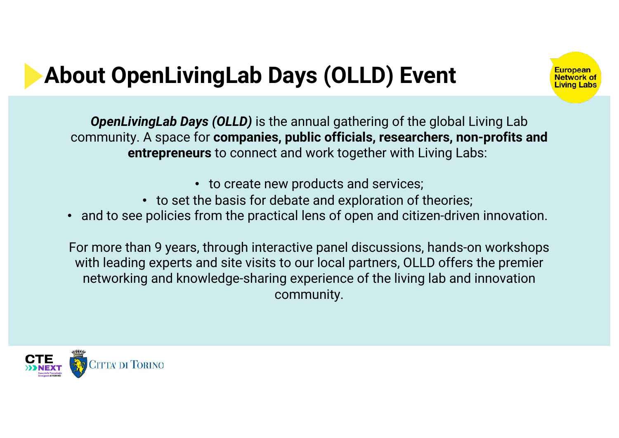# **About OpenLivingLab Days (OLLD) Event**



*OpenLivingLab Days (OLLD)* is the annual gathering of the global Living Lab community. A space for **companies, public officials, researchers, non-profits and entrepreneurs** to connect and work together with Living Labs:

- to create new products and services;
- to set the basis for debate and exploration of theories;
- and to see policies from the practical lens of open and citizen-driven innovation.

For more than 9 years, through interactive panel discussions, hands-on workshops with leading experts and site visits to our local partners, OLLD offers the premier networking and knowledge-sharing experience of the living lab and innovation community.

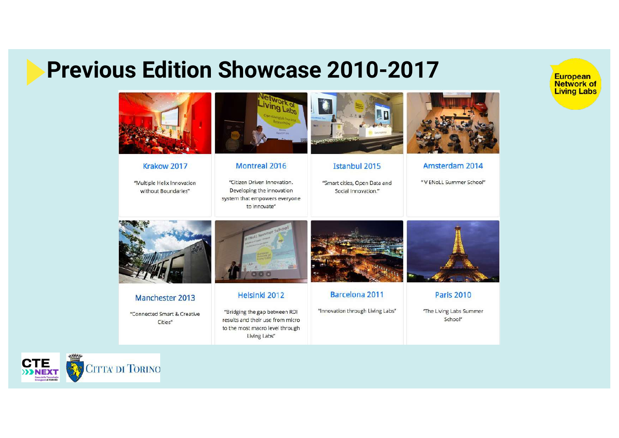### **Previous Edition Showcase 2010-2017**

European **Network of Living Labs** 



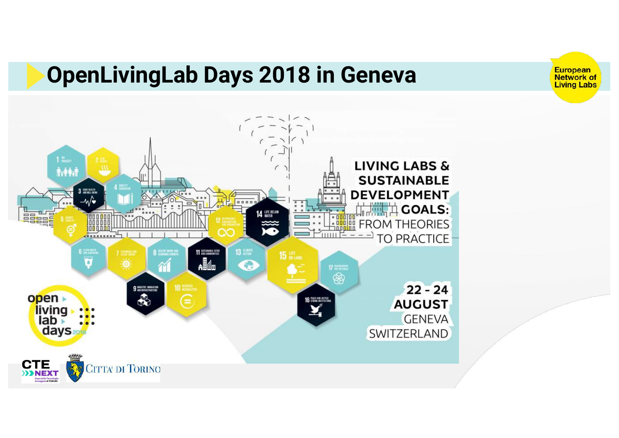### **OpenLivingLab Days 2018 in Geneva**



European<br>Network of<br>Living Labs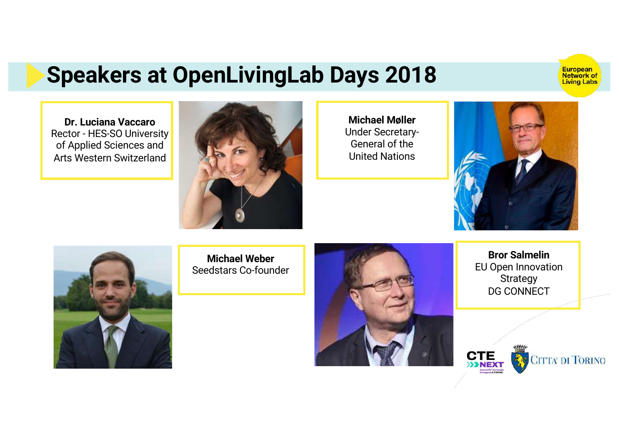### **Speakers at OpenLivingLab Days 2018**

European<br>Network of<br>Living Labs

**Dr. Luciana Vaccaro** Rector - HES-SO University of Applied Sciences and Arts Western Switzerland



**Michael Møller** Under Secretary-General of the United Nations





**Michael Weber** Seedstars Co-founder



**Bror Salmelin** EU Open Innovation **Strategy** DG CONNECT

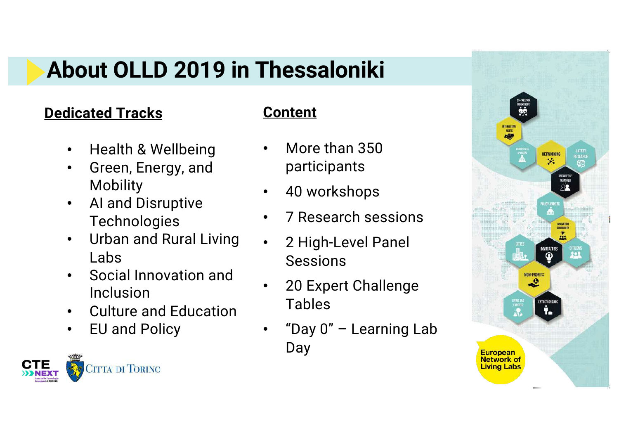### **About OLLD 2019 in Thessaloniki**

### **Dedicated Tracks**

#### **Content**

- Health & Wellbeing
- Green, Energy, and **Mobility**
- AI and Disruptive **Technologies**
- Urban and Rural Living Labs
- Social Innovation and Inclusion
- Culture and Education
- EU and Policy



- More than 350 participants
- 40 workshops
- 7 Research sessions
- 2 High-Level Panel Sessions
- 20 Expert Challenge Tables
- "Day 0" Learning Lab Day

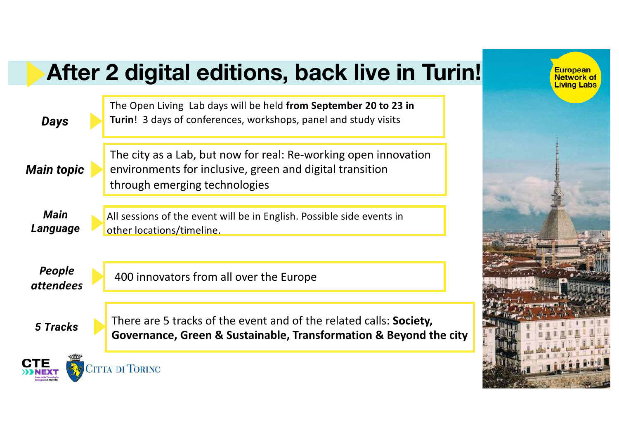### **After 2 digital editions, back live in Turin!**

| <b>Days</b>                | The Open Living Lab days will be held from September 20 to 23 in<br><b>Turin!</b> 3 days of conferences, workshops, panel and study visits                   |  |
|----------------------------|--------------------------------------------------------------------------------------------------------------------------------------------------------------|--|
| <b>Main topic</b>          | The city as a Lab, but now for real: Re-working open innovation<br>environments for inclusive, green and digital transition<br>through emerging technologies |  |
| <b>Main</b><br>Language    | All sessions of the event will be in English. Possible side events in<br>other locations/timeline.                                                           |  |
| People<br><i>attendees</i> | 400 innovators from all over the Europe                                                                                                                      |  |
| 5 Tracks                   | There are 5 tracks of the event and of the related calls: <b>Society,</b><br>Governance, Green & Sustainable, Transformation & Beyond the city               |  |
|                            | <b>ITTA' DI TORINO</b>                                                                                                                                       |  |

European<br>Network of<br>Living Labs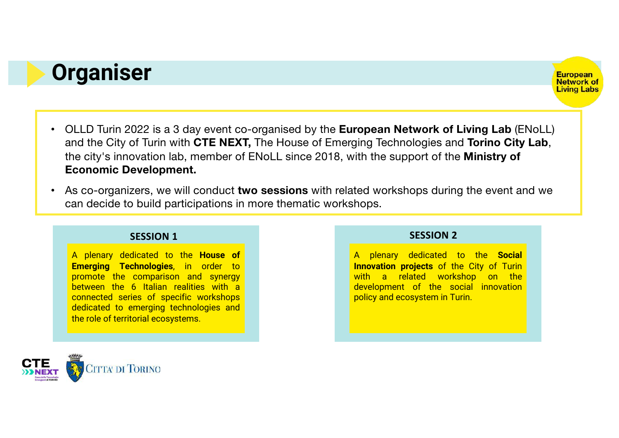### **Organiser**



- OLLD Turin 2022 is a 3 day event co-organised by the **European Network of Living Lab** (ENoLL) and the City of Turin with **CTE NEXT,** The House of Emerging Technologies and **Torino City Lab**, the city's innovation lab, member of ENoLL since 2018, with the support of the **Ministry of Economic Development.**
- As co-organizers, we will conduct **two sessions** with related workshops during the event and we can decide to build participations in more thematic workshops.

#### **SESSION 1 SESSION 2**

A plenary dedicated to the **House of Emerging Technologies**, in order to promote the comparison and synergy between the 6 Italian realities with a connected series of specific workshops dedicated to emerging technologies and the role of territorial ecosystems.

A plenary dedicated to the **Social Innovation projects** of the City of Turin with a related workshop on the development of the social innovation policy and ecosystem in Turin.

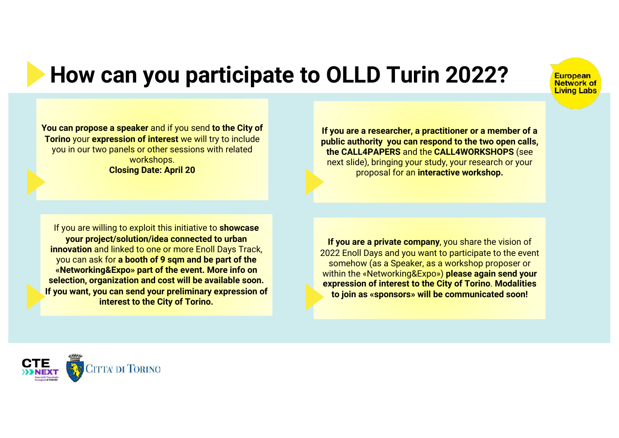## **How can you participate to OLLD Turin 2022?**



**You can propose a speaker** and if you send **to the City of Torino** your **expression of interest** we will try to include you in our two panels or other sessions with related workshops. **Closing Date: April 20**

**If you are a researcher, a practitioner or a member of a public authority you can respond to the two open calls, the CALL4PAPERS** and the **CALL4WORKSHOPS** (see next slide), bringing your study, your research or your proposal for an **interactive workshop.**

If you are willing to exploit this initiative to **showcase your project/solution/idea connected to urban innovation** and linked to one or more Enoll Days Track, you can ask for **a booth of 9 sqm and be part of the «Networking&Expo» part of the event. More info on selection, organization and cost will be available soon. If you want, you can send your preliminary expression of interest to the City of Torino.** 

**If you are a private company**, you share the vision of 2022 Enoll Days and you want to participate to the event somehow (as a Speaker, as a workshop proposer or within the «Networking&Expo») **please again send your expression of interest to the City of Torino**. **Modalities to join as «sponsors» will be communicated soon!**

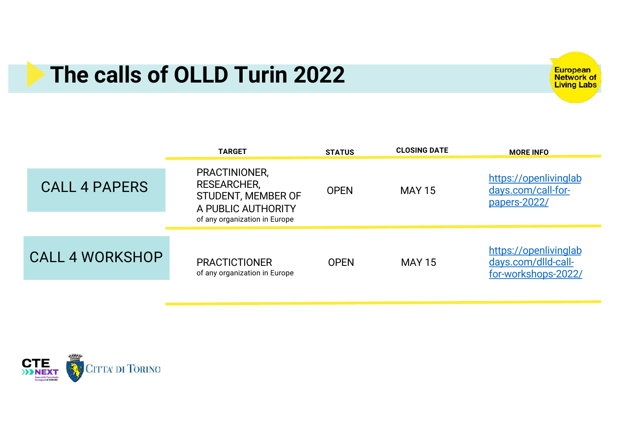### **The calls of OLLD Turin 2022**

European<br>Network of<br>Living Labs

|                        | <b>TARGET</b>                                                                                                    | <b>STATUS</b> | <b>CLOSING DATE</b> | <b>MORE INFO</b>                                                    |
|------------------------|------------------------------------------------------------------------------------------------------------------|---------------|---------------------|---------------------------------------------------------------------|
| <b>CALL 4 PAPERS</b>   | PRACTINIONER,<br><b>RESEARCHER,</b><br>STUDENT, MEMBER OF<br>A PUBLIC AUTHORITY<br>of any organization in Europe | <b>OPEN</b>   | <b>MAY 15</b>       | https://openlivinglab<br>days.com/call-for-<br>papers-2022/         |
| <b>CALL 4 WORKSHOP</b> | <b>PRACTICTIONER</b><br>of any organization in Europe                                                            | <b>OPEN</b>   | <b>MAY 15</b>       | https://openlivinglab<br>days.com/dlld-call-<br>for-workshops-2022/ |